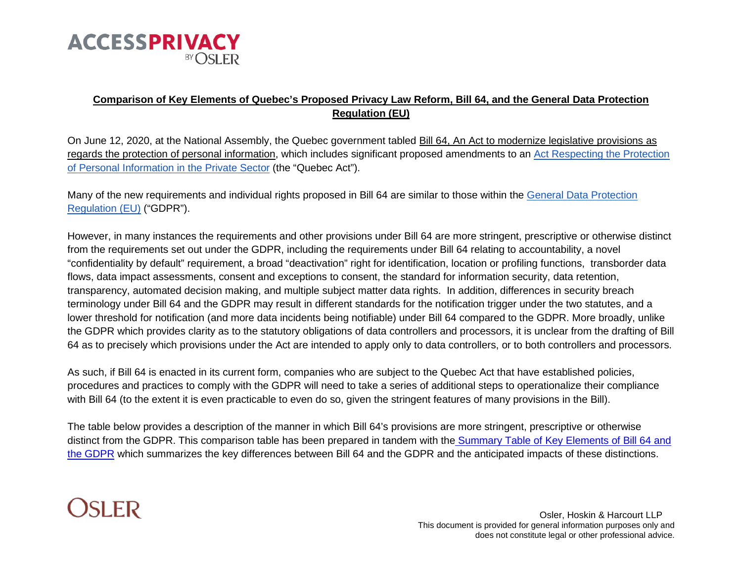

# **Comparison of Key Elements of Quebec's Proposed Privacy Law Reform, Bill 64, and the General Data Protection Regulation (EU)**

On June 12, 2020, at the National Assembly, the Quebec government tabled [Bill 64, An Act to modernize legislative provisions as](http://m.assnat.qc.ca/en/travaux-parlementaires/projets-loi/projet-loi-64-42-1.html)  [regards the protection of](http://m.assnat.qc.ca/en/travaux-parlementaires/projets-loi/projet-loi-64-42-1.html) personal information, which includes significant proposed amendments to an [Act Respecting the Protection](http://canlii.ca/t/53hxv)  [of Personal Information in the Private Sector](http://canlii.ca/t/53hxv) (the "Quebec Act").

Many of the new requirements and individual rights proposed in Bill 64 are similar to those within the [General Data Protection](https://eur-lex.europa.eu/legal-content/EN/TXT/PDF/?uri=CELEX:32016R0679)  [Regulation \(EU\)](https://eur-lex.europa.eu/legal-content/EN/TXT/PDF/?uri=CELEX:32016R0679) ("GDPR").

However, in many instances the requirements and other provisions under Bill 64 are more stringent, prescriptive or otherwise distinct from the requirements set out under the GDPR, including the requirements under Bill 64 relating to accountability, a novel "confidentiality by default" requirement, a broad "deactivation" right for identification, location or profiling functions, transborder data flows, data impact assessments, consent and exceptions to consent, the standard for information security, data retention, transparency, automated decision making, and multiple subject matter data rights. In addition, differences in security breach terminology under Bill 64 and the GDPR may result in different standards for the notification trigger under the two statutes, and a lower threshold for notification (and more data incidents being notifiable) under Bill 64 compared to the GDPR. More broadly, unlike the GDPR which provides clarity as to the statutory obligations of data controllers and processors, it is unclear from the drafting of Bill 64 as to precisely which provisions under the Act are intended to apply only to data controllers, or to both controllers and processors.

As such, if Bill 64 is enacted in its current form, companies who are subject to the Quebec Act that have established policies, procedures and practices to comply with the GDPR will need to take a series of additional steps to operationalize their compliance with Bill 64 (to the extent it is even practicable to even do so, given the stringent features of many provisions in the Bill).

The table below provides a description of the manner in which Bill 64's provisions are more stringent, prescriptive or otherwise distinct from the GDPR. This comparison table has been prepared in tandem with the [Summary Table of Key Elements of Bill 64 and](https://www.accessprivacy.com/AccessPrivacy/media/AccessPrivacy/Content/AccessPrivacy-Bill-64-GDPR-Summary-Comparison-Table.pdf)  [the GDPR](https://www.accessprivacy.com/AccessPrivacy/media/AccessPrivacy/Content/AccessPrivacy-Bill-64-GDPR-Summary-Comparison-Table.pdf) which summarizes the key differences between Bill 64 and the GDPR and the anticipated impacts of these distinctions.

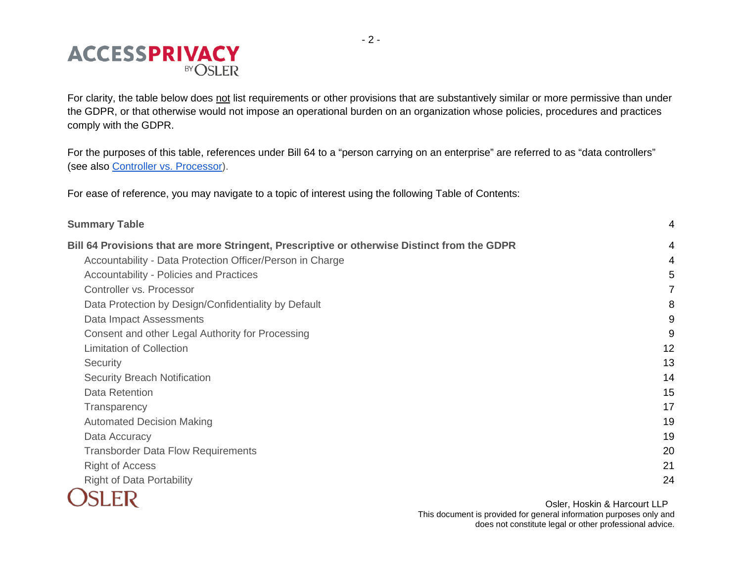

For clarity, the table below does not list requirements or other provisions that are substantively similar or more permissive than under the GDPR, or that otherwise would not impose an operational burden on an organization whose policies, procedures and practices comply with the GDPR.

For the purposes of this table, references under Bill 64 to a "person carrying on an enterprise" are referred to as "data controllers" (see also Controller vs. Processor).

For ease of reference, you may navigate to a topic of interest using the following Table of Contents:

| <b>Summary Table</b>                                                                         | 4  |
|----------------------------------------------------------------------------------------------|----|
| Bill 64 Provisions that are more Stringent, Prescriptive or otherwise Distinct from the GDPR | 4  |
| Accountability - Data Protection Officer/Person in Charge                                    | 4  |
| <b>Accountability - Policies and Practices</b>                                               | 5  |
| Controller vs. Processor                                                                     |    |
| Data Protection by Design/Confidentiality by Default                                         | 8  |
| Data Impact Assessments                                                                      | 9  |
| Consent and other Legal Authority for Processing                                             | 9  |
| <b>Limitation of Collection</b>                                                              | 12 |
| Security                                                                                     | 13 |
| <b>Security Breach Notification</b>                                                          | 14 |
| Data Retention                                                                               | 15 |
| Transparency                                                                                 | 17 |
| <b>Automated Decision Making</b>                                                             | 19 |
| Data Accuracy                                                                                | 19 |
| <b>Transborder Data Flow Requirements</b>                                                    | 20 |
| <b>Right of Access</b>                                                                       | 21 |
| <b>Right of Data Portability</b>                                                             | 24 |
| ICI ED                                                                                       |    |



Osler, Hoskin & Harcourt LLP

This document is provided for general information purposes only and does not constitute legal or other professional advice.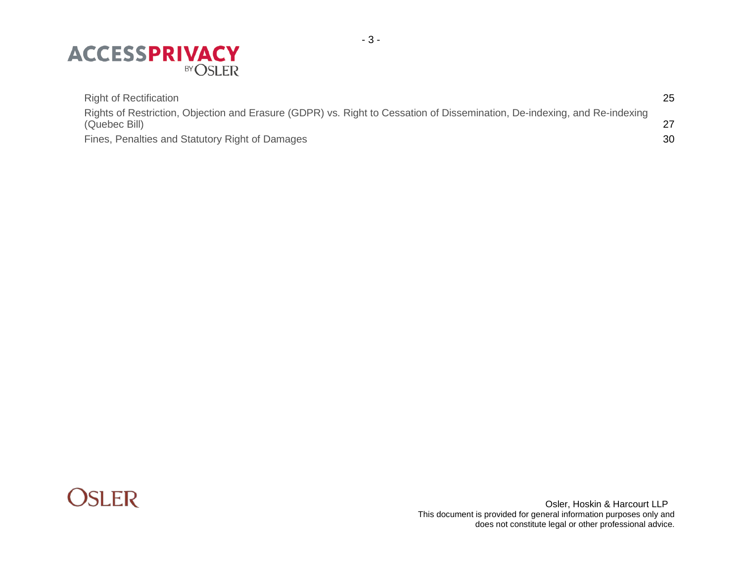

| <b>Right of Rectification</b>                                                                                                              | 25 |
|--------------------------------------------------------------------------------------------------------------------------------------------|----|
| Rights of Restriction, Objection and Erasure (GDPR) vs. Right to Cessation of Dissemination, De-indexing, and Re-indexing<br>(Quebec Bill) |    |
| Fines, Penalties and Statutory Right of Damages                                                                                            | 30 |

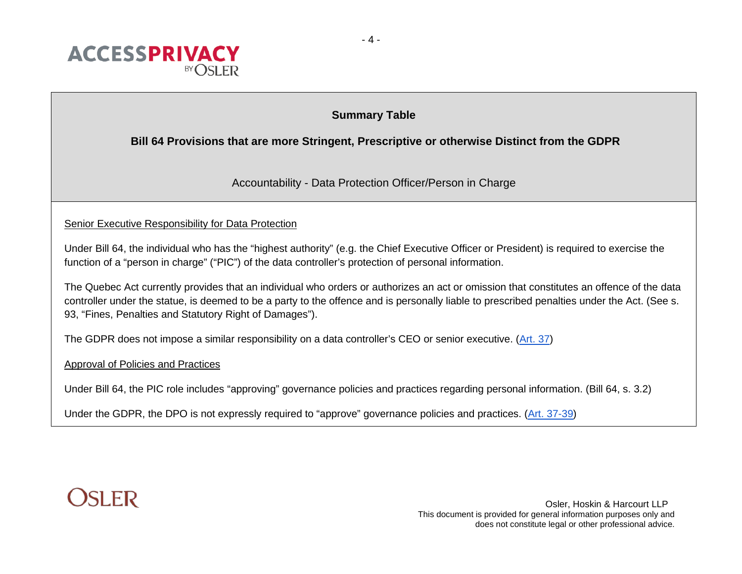<span id="page-3-0"></span>

# **Summary Table**

# <span id="page-3-1"></span>**Bill 64 Provisions that are more Stringent, Prescriptive or otherwise Distinct from the GDPR**

Accountability - Data Protection Officer/Person in Charge

# <span id="page-3-2"></span>Senior Executive Responsibility for Data Protection

Under Bill 64, the individual who has the "highest authority" (e.g. the Chief Executive Officer or President) is required to exercise the function of a "person in charge" ("PIC") of the data controller's protection of personal information.

The Quebec Act currently provides that an individual who orders or authorizes an act or omission that constitutes an offence of the data controller under the statue, is deemed to be a party to the offence and is personally liable to prescribed penalties under the Act. (See s. 93, "Fines, Penalties and Statutory Right of Damages").

The GDPR does not impose a similar responsibility on a data controller's CEO or senior executive. [\(Art. 37\)](https://eur-lex.europa.eu/legal-content/EN/TXT/PDF/?uri=CELEX:32016R0679#page=55)

Approval of Policies and Practices

Under Bill 64, the PIC role includes "approving" governance policies and practices regarding personal information. (Bill 64, s. 3.2)

Under the GDPR, the DPO is not expressly required to "approve" governance policies and practices. [\(Art. 37-39\)](https://eur-lex.europa.eu/legal-content/EN/TXT/PDF/?uri=CELEX:32016R0679#page=55)

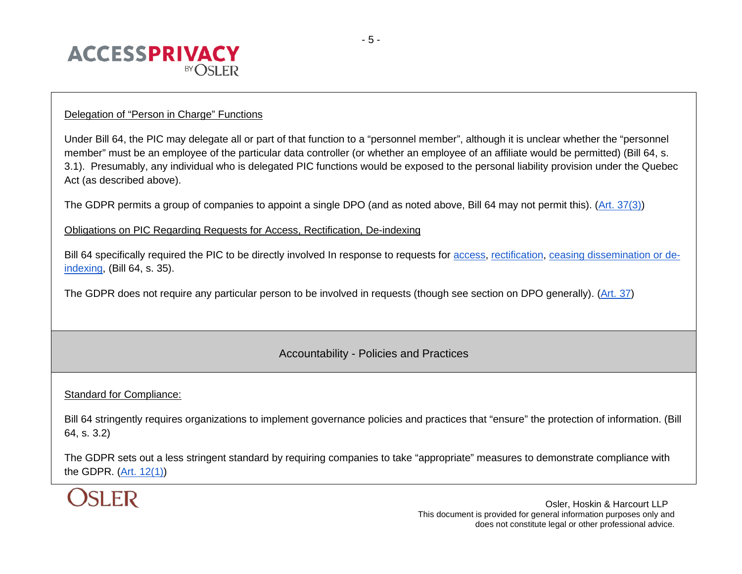

#### Delegation of "Person in Charge" Functions

Under Bill 64, the PIC may delegate all or part of that function to a "personnel member", although it is unclear whether the "personnel member" must be an employee of the particular data controller (or whether an employee of an affiliate would be permitted) (Bill 64, s. 3.1). Presumably, any individual who is delegated PIC functions would be exposed to the personal liability provision under the Quebec Act (as described above).

The GDPR permits a group of companies to appoint a single DPO (and as noted above, Bill 64 may not permit this). [\(Art. 37\(3\)\)](https://eur-lex.europa.eu/legal-content/EN/TXT/PDF/?uri=CELEX:32016R0679#page=55)

Obligations on PIC Regarding Requests for Access, Rectification, De-indexing

Bill 64 specifically required the PIC to be directly involved In response to requests for [access,](#page-20-0) [rectification,](#page-24-0) [ceasing dissemination or de](#page-26-0)[indexing,](#page-26-0) (Bill 64, s. 35).

<span id="page-4-0"></span>The GDPR does not require any particular person to be involved in requests (though see section on DPO generally). [\(Art. 37\)](https://eur-lex.europa.eu/legal-content/EN/TXT/PDF/?uri=CELEX:32016R0679#page=55)

Accountability - Policies and Practices

# Standard for Compliance:

Bill 64 stringently requires organizations to implement governance policies and practices that "ensure" the protection of information. (Bill 64, s. 3.2)

The GDPR sets out a less stringent standard by requiring companies to take "appropriate" measures to demonstrate compliance with the GDPR. [\(Art. 12\(1\)\)](https://eur-lex.europa.eu/legal-content/EN/TXT/PDF/?uri=CELEX:32016R0679#page=39)

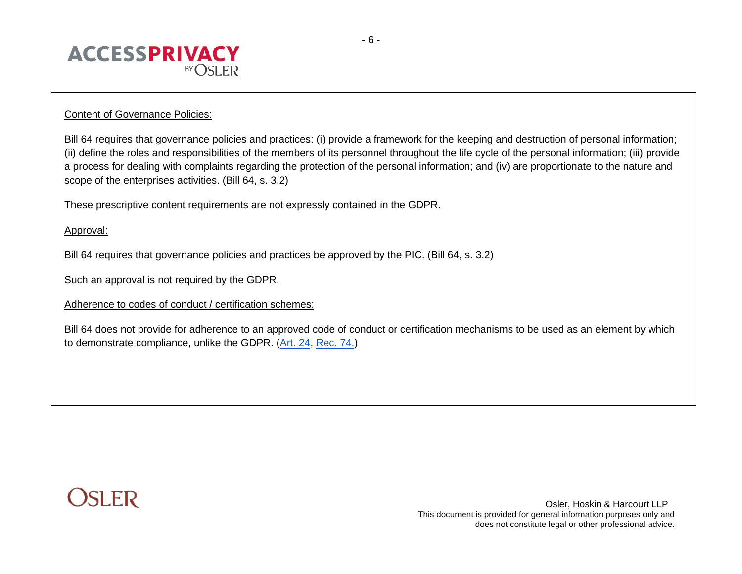

#### Content of Governance Policies:

Bill 64 requires that governance policies and practices: (i) provide a framework for the keeping and destruction of personal information; (ii) define the roles and responsibilities of the members of its personnel throughout the life cycle of the personal information; (iii) provide a process for dealing with complaints regarding the protection of the personal information; and (iv) are proportionate to the nature and scope of the enterprises activities. (Bill 64, s. 3.2)

These prescriptive content requirements are not expressly contained in the GDPR.

# Approval:

Bill 64 requires that governance policies and practices be approved by the PIC. (Bill 64, s. 3.2)

Such an approval is not required by the GDPR.

Adherence to codes of conduct / certification schemes:

Bill 64 does not provide for adherence to an approved code of conduct or certification mechanisms to be used as an element by which to demonstrate compliance, unlike the GDPR. [\(Art. 24](https://eur-lex.europa.eu/legal-content/EN/TXT/PDF/?uri=CELEX:32016R0679#page=47)[,](https://eur-lex.europa.eu/legal-content/EN/TXT/PDF/?uri=CELEX:32016R0679#page=14) [Rec. 74.\)](https://eur-lex.europa.eu/legal-content/EN/TXT/PDF/?uri=CELEX:32016R0679#page=14)

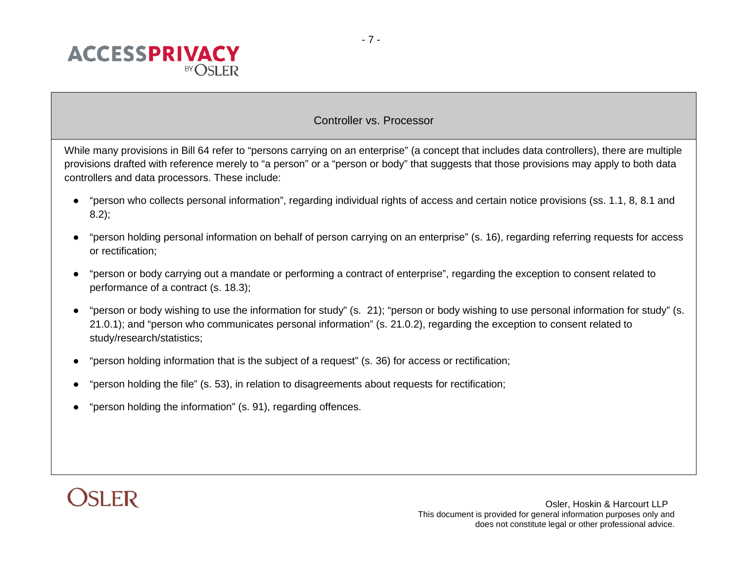

# Controller vs. Processor

<span id="page-6-0"></span>While many provisions in Bill 64 refer to "persons carrying on an enterprise" (a concept that includes data controllers), there are multiple provisions drafted with reference merely to "a person" or a "person or body" that suggests that those provisions may apply to both data controllers and data processors. These include:

- "person who collects personal information", regarding individual rights of access and certain notice provisions (ss. 1.1, 8, 8.1 and 8.2);
- "person holding personal information on behalf of person carrying on an enterprise" (s. 16), regarding referring requests for access or rectification;
- "person or body carrying out a mandate or performing a contract of enterprise", regarding the exception to consent related to performance of a contract (s. 18.3);
- "person or body wishing to use the information for study" (s. 21); "person or body wishing to use personal information for study" (s. 21.0.1); and "person who communicates personal information" (s. 21.0.2), regarding the exception to consent related to study/research/statistics;
- "person holding information that is the subject of a request" (s. 36) for access or rectification;
- "person holding the file" (s. 53), in relation to disagreements about requests for rectification;
- "person holding the information" (s. 91), regarding offences.

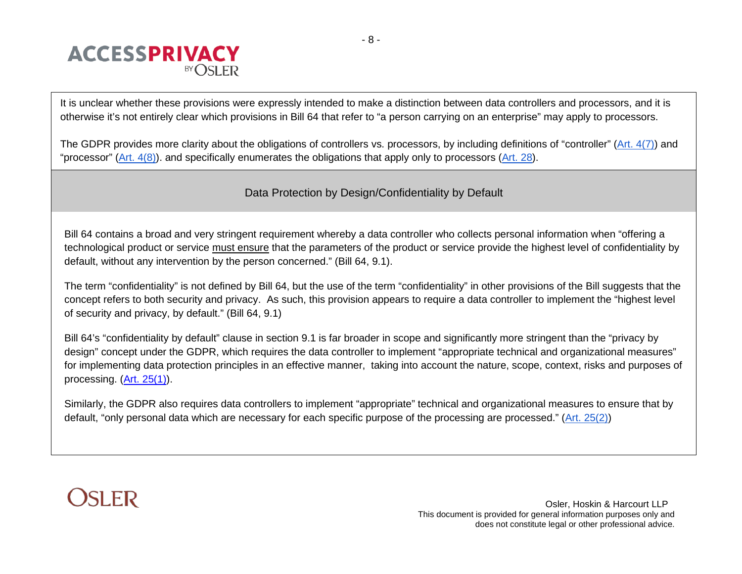

It is unclear whether these provisions were expressly intended to make a distinction between data controllers and processors, and it is otherwise it's not entirely clear which provisions in Bill 64 that refer to "a person carrying on an enterprise" may apply to processors.

<span id="page-7-0"></span>The GDPR provides more clarity about the obligations of controllers vs. processors, by including definitions of "controller" [\(Art. 4\(7\)\)](https://eur-lex.europa.eu/legal-content/EN/TXT/PDF/?uri=CELEX:32016R0679#page=33) and "processor" (Art.  $4(8)$ ). and specifically enumerates the obligations that apply only to processors [\(Art. 28\)](https://eur-lex.europa.eu/legal-content/EN/TXT/PDF/?uri=CELEX:32016R0679#page=49).

# Data Protection by Design/Confidentiality by Default

Bill 64 contains a broad and very stringent requirement whereby a data controller who collects personal information when "offering a technological product or service must ensure that the parameters of the product or service provide the highest level of confidentiality by default, without any intervention by the person concerned." (Bill 64, 9.1).

The term "confidentiality" is not defined by Bill 64, but the use of the term "confidentiality" in other provisions of the Bill suggests that the concept refers to both security and privacy. As such, this provision appears to require a data controller to implement the "highest level of security and privacy, by default." (Bill 64, 9.1)

Bill 64's "confidentiality by default" clause in section 9.1 is far broader in scope and significantly more stringent than the "privacy by design" concept under the GDPR, which requires the data controller to implement "appropriate technical and organizational measures" for implementing data protection principles in an effective manner, taking into account the nature, scope, context, risks and purposes of processing. [\(Art. 25\(1\)\)](https://eur-lex.europa.eu/legal-content/EN/TXT/PDF/?uri=CELEX:32016R0679#page=48).

Similarly, the GDPR also requires data controllers to implement "appropriate" technical and organizational measures to ensure that by default, "only personal data which are necessary for each specific purpose of the processing are processed." [\(Art. 25\(2\)\)](https://eur-lex.europa.eu/legal-content/EN/TXT/PDF/?uri=CELEX:32016R0679#page=48)

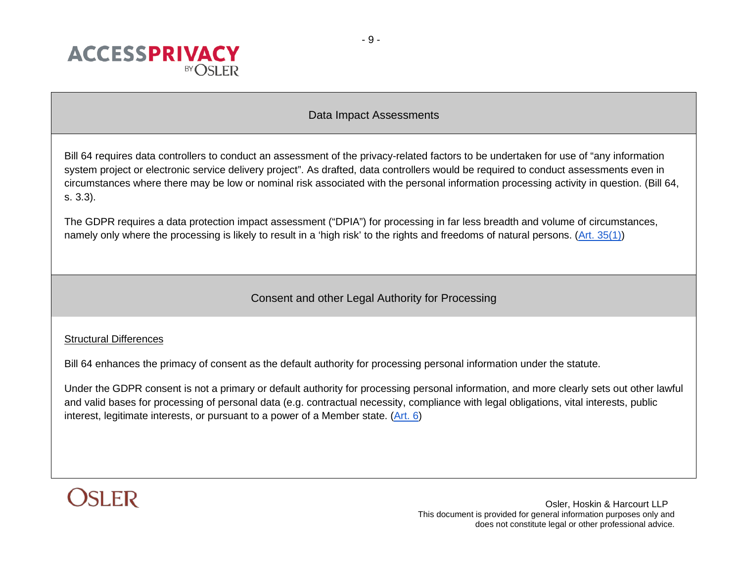

# Data Impact Assessments

<span id="page-8-0"></span>Bill 64 requires data controllers to conduct an assessment of the privacy-related factors to be undertaken for use of "any information system project or electronic service delivery project". As drafted, data controllers would be required to conduct assessments even in circumstances where there may be low or nominal risk associated with the personal information processing activity in question. (Bill 64, s. 3.3).

The GDPR requires a data protection impact assessment ("DPIA") for processing in far less breadth and volume of circumstances, namely only where the processing is likely to result in a 'high risk' to the rights and freedoms of natural persons. [\(Art. 35\(1\)\)](https://eur-lex.europa.eu/legal-content/EN/TXT/PDF/?uri=CELEX:32016R0679#page=53)

Consent and other Legal Authority for Processing

#### <span id="page-8-1"></span>Structural Differences

Bill 64 enhances the primacy of consent as the default authority for processing personal information under the statute.

Under the GDPR consent is not a primary or default authority for processing personal information, and more clearly sets out other lawful and valid bases for processing of personal data (e.g. contractual necessity, compliance with legal obligations, vital interests, public interest, legitimate interests, or pursuant to a power of a Member state. [\(Art.](https://eur-lex.europa.eu/legal-content/EN/TXT/PDF/?uri=CELEX:32016R0679#page=36) 6)

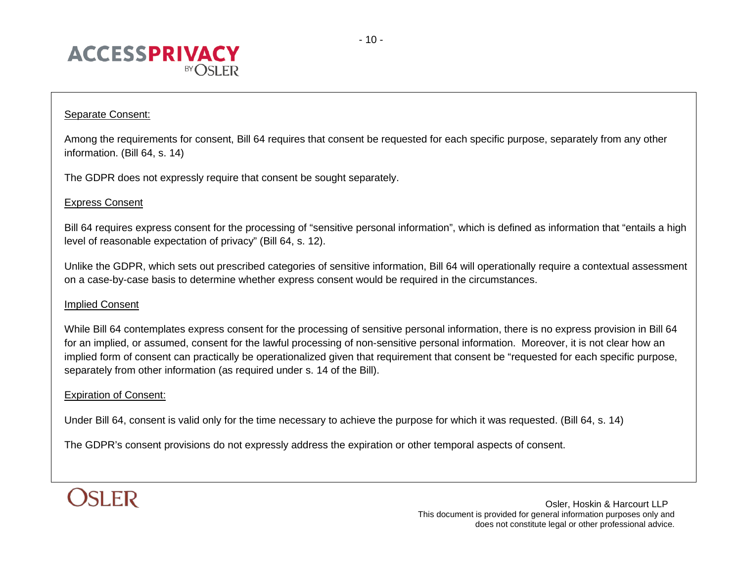

# Separate Consent:

Among the requirements for consent, Bill 64 requires that consent be requested for each specific purpose, separately from any other information. (Bill 64, s. 14)

The GDPR does not expressly require that consent be sought separately.

# Express Consent

Bill 64 requires express consent for the processing of "sensitive personal information", which is defined as information that "entails a high level of reasonable expectation of privacy" (Bill 64, s. 12).

Unlike the GDPR, which sets out prescribed categories of sensitive information, Bill 64 will operationally require a contextual assessment on a case-by-case basis to determine whether express consent would be required in the circumstances.

#### Implied Consent

While Bill 64 contemplates express consent for the processing of sensitive personal information, there is no express provision in Bill 64 for an implied, or assumed, consent for the lawful processing of non-sensitive personal information. Moreover, it is not clear how an implied form of consent can practically be operationalized given that requirement that consent be "requested for each specific purpose, separately from other information (as required under s. 14 of the Bill).

# Expiration of Consent:

Under Bill 64, consent is valid only for the time necessary to achieve the purpose for which it was requested. (Bill 64, s. 14)

The GDPR's consent provisions do not expressly address the expiration or other temporal aspects of consent.

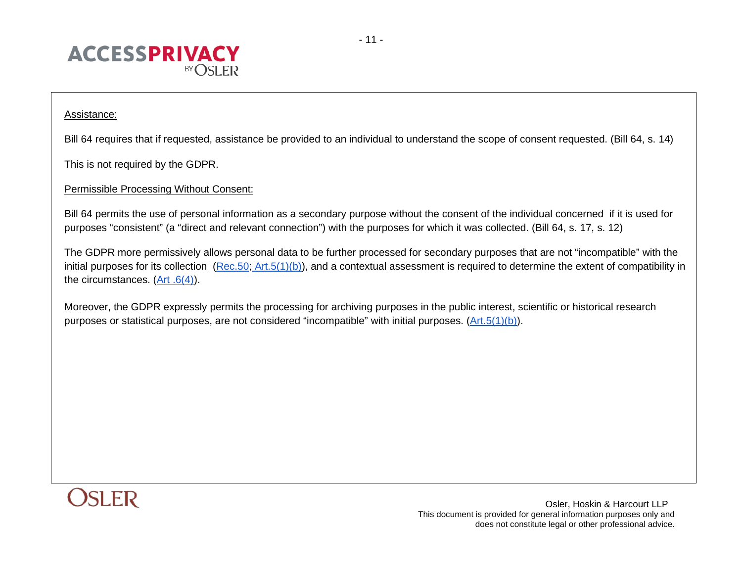

Assistance:

Bill 64 requires that if requested, assistance be provided to an individual to understand the scope of consent requested. (Bill 64, s. 14)

This is not required by the GDPR.

Permissible Processing Without Consent:

Bill 64 permits the use of personal information as a secondary purpose without the consent of the individual concerned if it is used for purposes "consistent" (a "direct and relevant connection") with the purposes for which it was collected. (Bill 64, s. 17, s. 12)

The GDPR more permissively allows personal data to be further processed for secondary purposes that are not "incompatible" with the initial purposes for its collection [\(Rec.50;](https://eur-lex.europa.eu/legal-content/EN/TXT/PDF/?uri=CELEX:32016R0679#page=9) [Art.5\(1\)\(b\)\)](https://eur-lex.europa.eu/legal-content/EN/TXT/PDF/?uri=CELEX:32016R0679#page=35), and a contextual assessment is required to determine the extent of compatibility in the circumstances.  $(Art.6(4))$ .

Moreover, the GDPR expressly permits the processing for archiving purposes in the public interest, scientific or historical research purposes or statistical purposes, are not considered "incompatible" with initial purposes. [\(Art.5\(1\)\(b\)\)](https://eur-lex.europa.eu/legal-content/EN/TXT/PDF/?uri=CELEX:32016R0679#page=35).

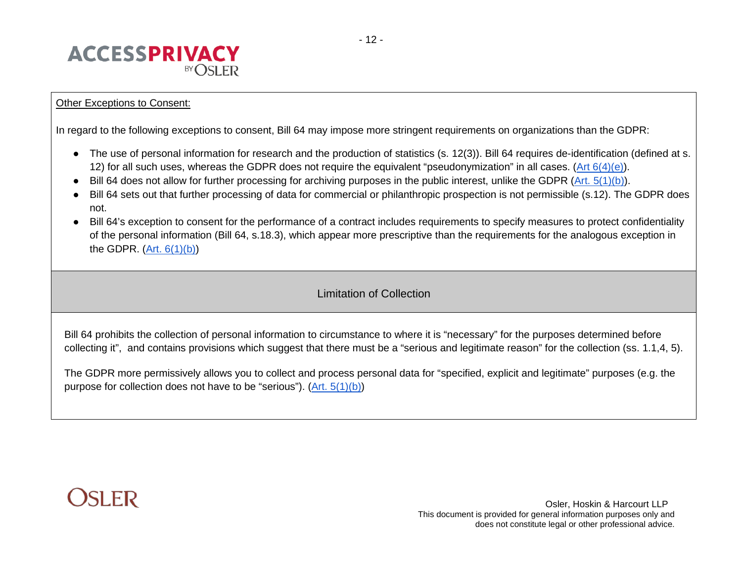

# Other Exceptions to Consent:

In regard to the following exceptions to consent, Bill 64 may impose more stringent requirements on organizations than the GDPR:

- The use of personal information for research and the production of statistics (s. 12(3)). Bill 64 requires de-identification (defined at s. 12) for all such uses, whereas the GDPR does not require the equivalent "pseudonymization" in all cases. (Art  $6(4)(e)$ ).
- Bill 64 does not allow for further processing for archiving purposes in the public interest, unlike the GDPR [\(Art. 5\(1\)\(b\)\)](https://eur-lex.europa.eu/legal-content/EN/TXT/PDF/?uri=CELEX:32016R0679#page=35).
- Bill 64 sets out that further processing of data for commercial or philanthropic prospection is not permissible (s.12). The GDPR does not.
- Bill 64's exception to consent for the performance of a contract includes requirements to specify measures to protect confidentiality of the personal information (Bill 64, s.18.3), which appear more prescriptive than the requirements for the analogous exception in the GDPR.  $(Art. 6(1)(b))$

# Limitation of Collection

<span id="page-11-0"></span>Bill 64 prohibits the collection of personal information to circumstance to where it is "necessary" for the purposes determined before collecting it", and contains provisions which suggest that there must be a "serious and legitimate reason" for the collection (ss. 1.1,4, 5).

The GDPR more permissively allows you to collect and process personal data for "specified, explicit and legitimate" purposes (e.g. the purpose for collection does not have to be "serious"). [\(Art. 5\(1\)\(b\)\)](https://eur-lex.europa.eu/legal-content/EN/TXT/PDF/?uri=CELEX:32016R0679#page=35)

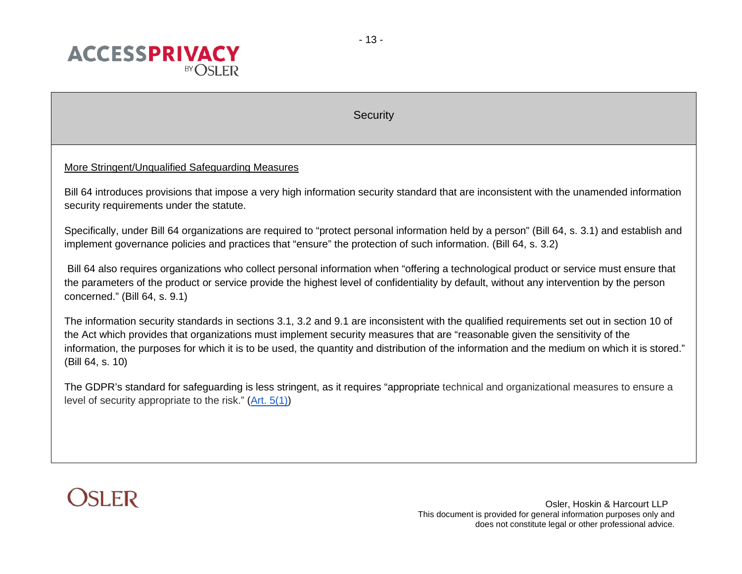<span id="page-12-0"></span>

**Security** 

# More Stringent/Unqualified Safeguarding Measures

Bill 64 introduces provisions that impose a very high information security standard that are inconsistent with the unamended information security requirements under the statute.

Specifically, under Bill 64 organizations are required to "protect personal information held by a person" (Bill 64, s. 3.1) and establish and implement governance policies and practices that "ensure" the protection of such information. (Bill 64, s. 3.2)

Bill 64 also requires organizations who collect personal information when "offering a technological product or service must ensure that the parameters of the product or service provide the highest level of confidentiality by default, without any intervention by the person concerned." (Bill 64, s. 9.1)

The information security standards in sections 3.1, 3.2 and 9.1 are inconsistent with the qualified requirements set out in section 10 of the Act which provides that organizations must implement security measures that are "reasonable given the sensitivity of the information, the purposes for which it is to be used, the quantity and distribution of the information and the medium on which it is stored." (Bill 64, s. 10)

The GDPR's standard for safeguarding is less stringent, as it requires "appropriate technical and organizational measures to ensure a level of security appropriate to the risk." (Art. [5\(1\)\)](https://eur-lex.europa.eu/legal-content/EN/TXT/PDF/?uri=CELEX:32016R0679#page=35)

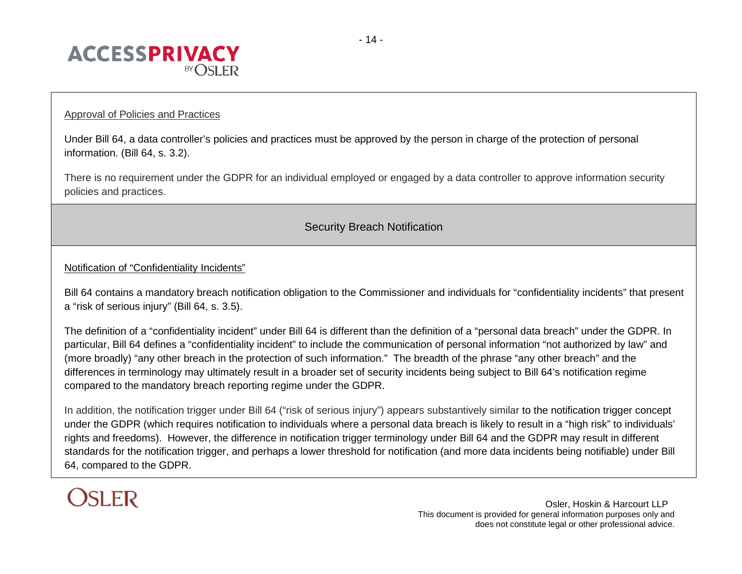

#### Approval of Policies and Practices

Under Bill 64, a data controller's policies and practices must be approved by the person in charge of the protection of personal information. (Bill 64, s. 3.2).

<span id="page-13-0"></span>There is no requirement under the GDPR for an individual employed or engaged by a data controller to approve information security policies and practices.

Security Breach Notification

#### Notification of "Confidentiality Incidents"

Bill 64 contains a mandatory breach notification obligation to the Commissioner and individuals for "confidentiality incidents" that present a "risk of serious injury" (Bill 64, s. 3.5).

The definition of a "confidentiality incident" under Bill 64 is different than the definition of a "personal data breach" under the GDPR. In particular, Bill 64 defines a "confidentiality incident" to include the communication of personal information "not authorized by law" and (more broadly) "any other breach in the protection of such information." The breadth of the phrase "any other breach" and the differences in terminology may ultimately result in a broader set of security incidents being subject to Bill 64's notification regime compared to the mandatory breach reporting regime under the GDPR.

In addition, the notification trigger under Bill 64 ("risk of serious injury") appears substantively similar to the notification trigger concept under the GDPR (which requires notification to individuals where a personal data breach is likely to result in a "high risk" to individuals' rights and freedoms). However, the difference in notification trigger terminology under Bill 64 and the GDPR may result in different standards for the notification trigger, and perhaps a lower threshold for notification (and more data incidents being notifiable) under Bill 64, compared to the GDPR.

# **OSLER**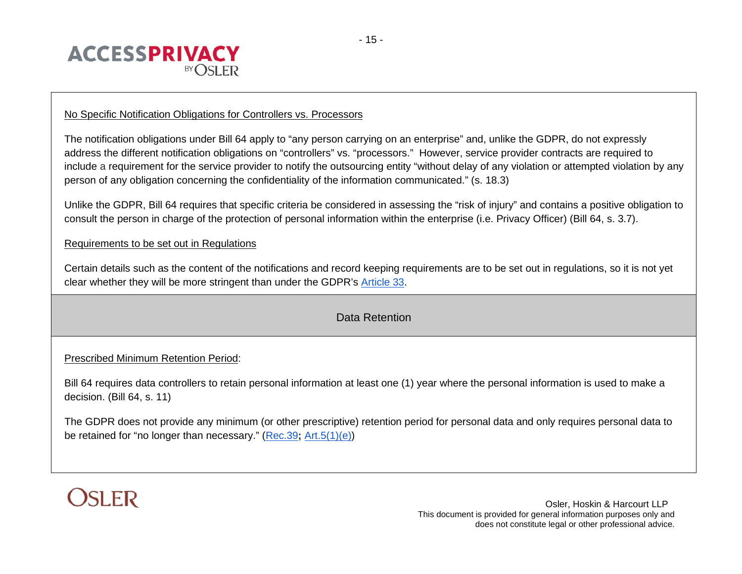

#### No Specific Notification Obligations for Controllers vs. Processors

The notification obligations under Bill 64 apply to "any person carrying on an enterprise" and, unlike the GDPR, do not expressly address the different notification obligations on "controllers" vs. "processors." However, service provider contracts are required to include a requirement for the service provider to notify the outsourcing entity "without delay of any violation or attempted violation by any person of any obligation concerning the confidentiality of the information communicated." (s. 18.3)

Unlike the GDPR, Bill 64 requires that specific criteria be considered in assessing the "risk of injury" and contains a positive obligation to consult the person in charge of the protection of personal information within the enterprise (i.e. Privacy Officer) (Bill 64, s. 3.7).

#### Requirements to be set out in Regulations

<span id="page-14-0"></span>Certain details such as the content of the notifications and record keeping requirements are to be set out in regulations, so it is not yet clear whether they will be more stringent than under the GDPR's [Article 33.](https://eur-lex.europa.eu/legal-content/EN/TXT/PDF/?uri=CELEX:32016R0679#page=52)

# Data Retention

#### Prescribed Minimum Retention Period:

Bill 64 requires data controllers to retain personal information at least one (1) year where the personal information is used to make a decision. (Bill 64, s. 11)

The GDPR does not provide any minimum (or other prescriptive) retention period for personal data and only requires personal data to be retained for "no longer than necessary." [\(Rec.39](https://eur-lex.europa.eu/legal-content/EN/TXT/PDF/?uri=CELEX:32016R0679#page=7)**[;](https://eur-lex.europa.eu/legal-content/EN/TXT/PDF/?uri=CELEX:32016R0679#page=36)** [Art.5\(1\)\(e\)\)](https://eur-lex.europa.eu/legal-content/EN/TXT/PDF/?uri=CELEX:32016R0679#page=36)

# **OSLER**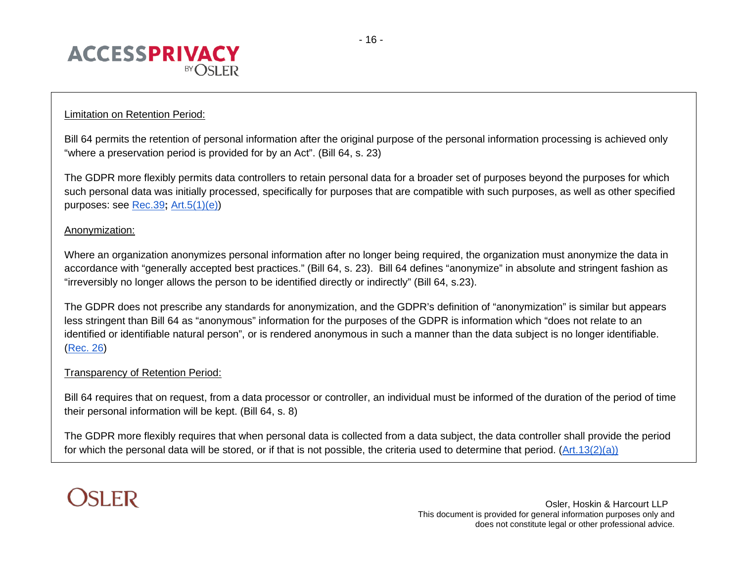

#### Limitation on Retention Period:

Bill 64 permits the retention of personal information after the original purpose of the personal information processing is achieved only "where a preservation period is provided for by an Act". (Bill 64, s. 23)

The GDPR more flexibly permits data controllers to retain personal data for a broader set of purposes beyond the purposes for which such personal data was initially processed, specifically for purposes that are compatible with such purposes, as well as other specified purposes: see [Rec.39](https://eur-lex.europa.eu/legal-content/EN/TXT/PDF/?uri=CELEX:32016R0679#page=7)**[;](https://eur-lex.europa.eu/legal-content/EN/TXT/PDF/?uri=CELEX:32016R0679#page=36)** [Art.5\(1\)\(e\)\)](https://eur-lex.europa.eu/legal-content/EN/TXT/PDF/?uri=CELEX:32016R0679#page=36)

#### Anonymization:

Where an organization anonymizes personal information after no longer being required, the organization must anonymize the data in accordance with "generally accepted best practices." (Bill 64, s. 23). Bill 64 defines "anonymize" in absolute and stringent fashion as "irreversibly no longer allows the person to be identified directly or indirectly" (Bill 64, s.23).

The GDPR does not prescribe any standards for anonymization, and the GDPR's definition of "anonymization" is similar but appears less stringent than Bill 64 as "anonymous" information for the purposes of the GDPR is information which "does not relate to an identified or identifiable natural person", or is rendered anonymous in such a manner than the data subject is no longer identifiable. [\(Rec. 26\)](https://eur-lex.europa.eu/legal-content/EN/TXT/PDF/?uri=CELEX:32016R0679#page=5)

# Transparency of Retention Period:

Bill 64 requires that on request, from a data processor or controller, an individual must be informed of the duration of the period of time their personal information will be kept. (Bill 64, s. 8)

The GDPR more flexibly requires that when personal data is collected from a data subject, the data controller shall provide the period for which the personal data will be stored, or if that is not possible, the criteria used to determine that period.  $(Art.13(2)(a))$ 

# **OSLER**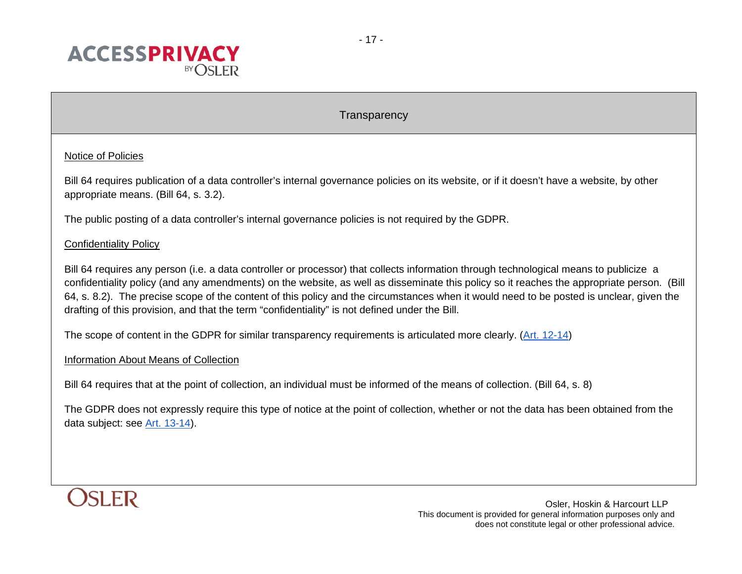

# **Transparency**

# <span id="page-16-0"></span>Notice of Policies

Bill 64 requires publication of a data controller's internal governance policies on its website, or if it doesn't have a website, by other appropriate means. (Bill 64, s. 3.2).

The public posting of a data controller's internal governance policies is not required by the GDPR.

#### Confidentiality Policy

Bill 64 requires any person (i.e. a data controller or processor) that collects information through technological means to publicize a confidentiality policy (and any amendments) on the website, as well as disseminate this policy so it reaches the appropriate person. (Bill 64, s. 8.2). The precise scope of the content of this policy and the circumstances when it would need to be posted is unclear, given the drafting of this provision, and that the term "confidentiality" is not defined under the Bill.

The scope of content in the GDPR for similar transparency requirements is articulated more clearly. [\(Art. 12-14\)](https://eur-lex.europa.eu/legal-content/EN/TXT/PDF/?uri=CELEX:32016R0679#page=39)

#### Information About Means of Collection

Bill 64 requires that at the point of collection, an individual must be informed of the means of collection. (Bill 64, s. 8)

The GDPR does not expressly require this type of notice at the point of collection, whether or not the data has been obtained from the data subject: see [Art. 13-14\)](https://eur-lex.europa.eu/legal-content/EN/TXT/PDF/?uri=CELEX:32016R0679#page=61).

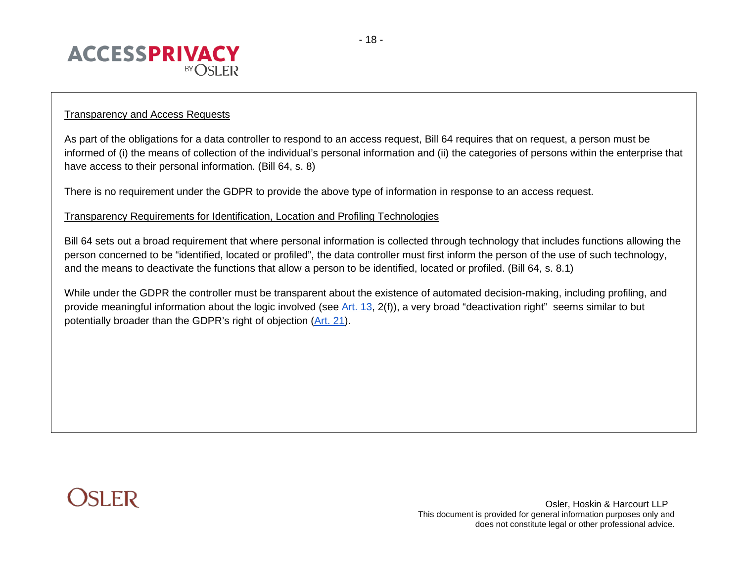

#### Transparency and Access Requests

As part of the obligations for a data controller to respond to an access request, Bill 64 requires that on request, a person must be informed of (i) the means of collection of the individual's personal information and (ii) the categories of persons within the enterprise that have access to their personal information. (Bill 64, s. 8)

There is no requirement under the GDPR to provide the above type of information in response to an access request.

Transparency Requirements for Identification, Location and Profiling Technologies

Bill 64 sets out a broad requirement that where personal information is collected through technology that includes functions allowing the person concerned to be "identified, located or profiled", the data controller must first inform the person of the use of such technology, and the means to deactivate the functions that allow a person to be identified, located or profiled. (Bill 64, s. 8.1)

While under the GDPR the controller must be transparent about the existence of automated decision-making, including profiling, and provide meaningful information about the logic involved (see [Art. 13,](https://eur-lex.europa.eu/legal-content/EN/TXT/PDF/?uri=CELEX:32016R0679#page=61) 2(f)), a very broad "deactivation right" seems similar to but potentially broader than the GDPR's right of objection [\(Art. 21\)](https://eur-lex.europa.eu/legal-content/EN/TXT/PDF/?uri=CELEX:32016R0679#page=45).

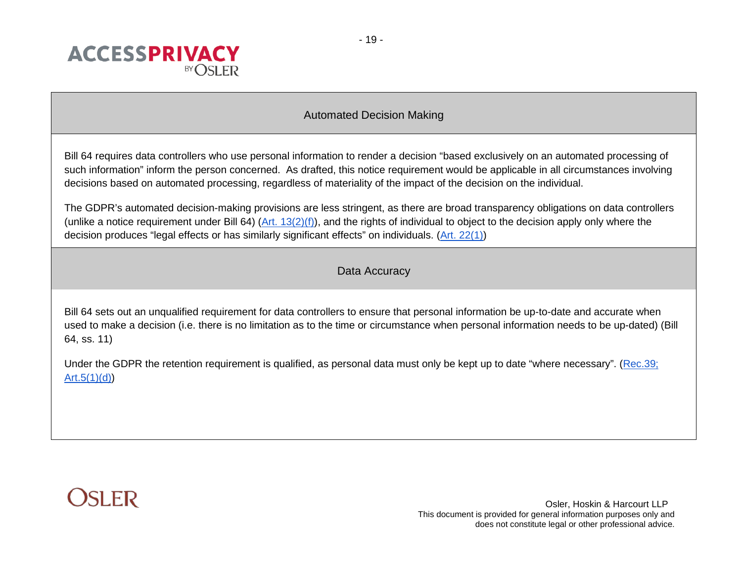

# Automated Decision Making

<span id="page-18-0"></span>Bill 64 requires data controllers who use personal information to render a decision "based exclusively on an automated processing of such information" inform the person concerned. As drafted, this notice requirement would be applicable in all circumstances involving decisions based on automated processing, regardless of materiality of the impact of the decision on the individual.

<span id="page-18-1"></span>The GDPR's automated decision-making provisions are less stringent, as there are broad transparency obligations on data controllers (unlike a notice requirement under Bill 64)  $(Art. 13(2)(f))$ , and the rights of individual to object to the decision apply only where the decision produces "legal effects or has similarly significant effects" on individuals. [\(Art. 22\(1\)\)](https://eur-lex.europa.eu/legal-content/EN/TXT/PDF/?uri=CELEX:32016R0679#page=46)

Data Accuracy

Bill 64 sets out an unqualified requirement for data controllers to ensure that personal information be up-to-date and accurate when used to make a decision (i.e. there is no limitation as to the time or circumstance when personal information needs to be up-dated) (Bill 64, ss. 11)

Under the GDPR the retention requirement is qualified, as personal data must only be kept up to date "where necessary". [\(Rec.39;](https://eur-lex.europa.eu/legal-content/EN/TXT/PDF/?uri=CELEX:32016R0679#page=7) [Art.5\(1\)\(d\)\)](https://eur-lex.europa.eu/legal-content/EN/TXT/PDF/?uri=CELEX:32016R0679#page=35)

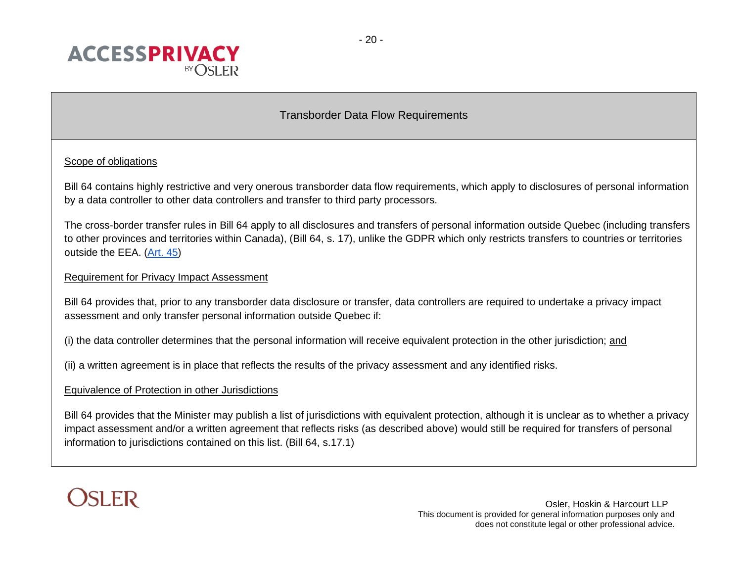<span id="page-19-0"></span>

# Transborder Data Flow Requirements

# Scope of obligations

Bill 64 contains highly restrictive and very onerous transborder data flow requirements, which apply to disclosures of personal information by a data controller to other data controllers and transfer to third party processors.

The cross-border transfer rules in Bill 64 apply to all disclosures and transfers of personal information outside Quebec (including transfers to other provinces and territories within Canada), (Bill 64, s. 17), unlike the GDPR which only restricts transfers to countries or territories outside the EEA. [\(Art. 45\)](https://eur-lex.europa.eu/legal-content/EN/TXT/PDF/?uri=CELEX:32016R0679#page=61)

#### Requirement for Privacy Impact Assessment

Bill 64 provides that, prior to any transborder data disclosure or transfer, data controllers are required to undertake a privacy impact assessment and only transfer personal information outside Quebec if:

(i) the data controller determines that the personal information will receive equivalent protection in the other jurisdiction; and

(ii) a written agreement is in place that reflects the results of the privacy assessment and any identified risks.

#### Equivalence of Protection in other Jurisdictions

Bill 64 provides that the Minister may publish a list of jurisdictions with equivalent protection, although it is unclear as to whether a privacy impact assessment and/or a written agreement that reflects risks (as described above) would still be required for transfers of personal information to jurisdictions contained on this list. (Bill 64, s.17.1)

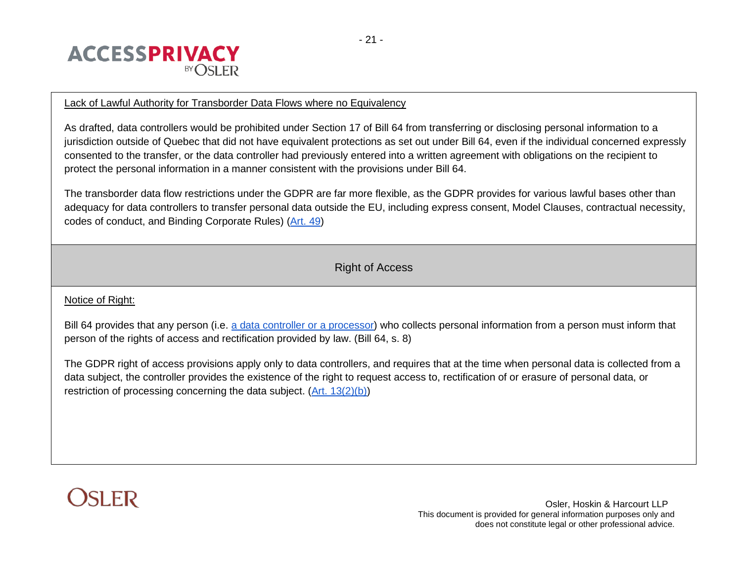

# Lack of Lawful Authority for Transborder Data Flows where no Equivalency

As drafted, data controllers would be prohibited under Section 17 of Bill 64 from transferring or disclosing personal information to a jurisdiction outside of Quebec that did not have equivalent protections as set out under Bill 64, even if the individual concerned expressly consented to the transfer, or the data controller had previously entered into a written agreement with obligations on the recipient to protect the personal information in a manner consistent with the provisions under Bill 64.

The transborder data flow restrictions under the GDPR are far more flexible, as the GDPR provides for various lawful bases other than adequacy for data controllers to transfer personal data outside the EU, including express consent, Model Clauses, contractual necessity, codes of conduct, and Binding Corporate Rules) [\(Art. 49\)](https://eur-lex.europa.eu/legal-content/EN/TXT/PDF/?uri=CELEX:32016R0679#page=64)

Right of Access

# <span id="page-20-0"></span>Notice of Right:

Bill 64 provides that any person (i.e. a data controller or a processor) who collects personal information from a person must inform that person of the rights of access and rectification provided by law. (Bill 64, s. 8)

The GDPR right of access provisions apply only to data controllers, and requires that at the time when personal data is collected from a data subject, the controller provides the existence of the right to request access to, rectification of or erasure of personal data, or restriction of processing concerning the data subject. [\(Art. 13\(2\)\(b\)\)](https://eur-lex.europa.eu/legal-content/EN/TXT/PDF/?uri=CELEX:32016R0679#page=41)

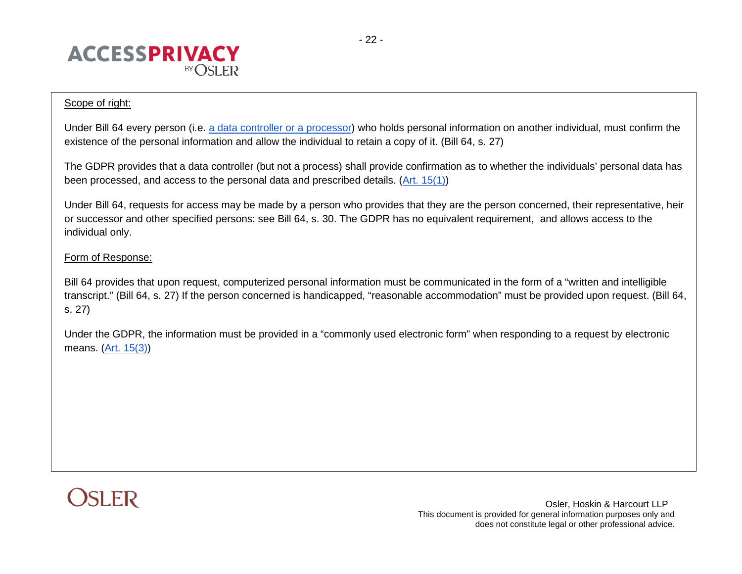

# Scope of right:

Under Bill 64 every person (i.e. a data controller or a processor) who holds personal information on another individual, must confirm the existence of the personal information and allow the individual to retain a copy of it. (Bill 64, s. 27)

The GDPR provides that a data controller (but not a process) shall provide confirmation as to whether the individuals' personal data has been processed, and access to the personal data and prescribed details. [\(Art. 15\(1\)\)](https://eur-lex.europa.eu/legal-content/EN/TXT/PDF/?uri=CELEX:32016R0679#page=43)

Under Bill 64, requests for access may be made by a person who provides that they are the person concerned, their representative, heir or successor and other specified persons: see Bill 64, s. 30. The GDPR has no equivalent requirement, and allows access to the individual only.

# Form of Response:

Bill 64 provides that upon request, computerized personal information must be communicated in the form of a "written and intelligible transcript." (Bill 64, s. 27) If the person concerned is handicapped, "reasonable accommodation" must be provided upon request. (Bill 64, s. 27)

Under the GDPR, the information must be provided in a "commonly used electronic form" when responding to a request by electronic means. [\(Art. 15\(3\)\)](https://eur-lex.europa.eu/legal-content/EN/TXT/PDF/?uri=CELEX:32016R0679#page=43)

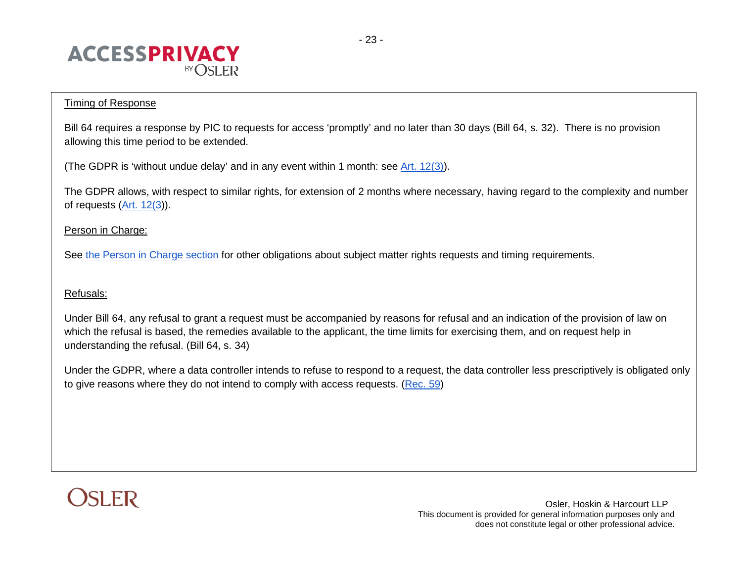

# Timing of Response

Bill 64 requires a response by PIC to requests for access 'promptly' and no later than 30 days (Bill 64, s. 32). There is no provision allowing this time period to be extended.

(The GDPR is 'without undue delay' and in any event within 1 month: see  $Art. 12(3)$ ).

The GDPR allows, with respect to similar rights, for extension of 2 months where necessary, having regard to the complexity and number of requests  $(Art. 12(3))$  $(Art. 12(3))$ .

# Person in Charge:

See [the Person in Charge section f](#page-3-2)or other obligations about subject matter rights requests and timing requirements.

# Refusals:

Under Bill 64, any refusal to grant a request must be accompanied by reasons for refusal and an indication of the provision of law on which the refusal is based, the remedies available to the applicant, the time limits for exercising them, and on request help in understanding the refusal. (Bill 64, s. 34)

Under the GDPR, where a data controller intends to refuse to respond to a request, the data controller less prescriptively is obligated only to give reasons where they do not intend to comply with access requests. [\(Rec. 59\)](https://eur-lex.europa.eu/legal-content/EN/TXT/PDF/?uri=CELEX:32016R0679#page=11)

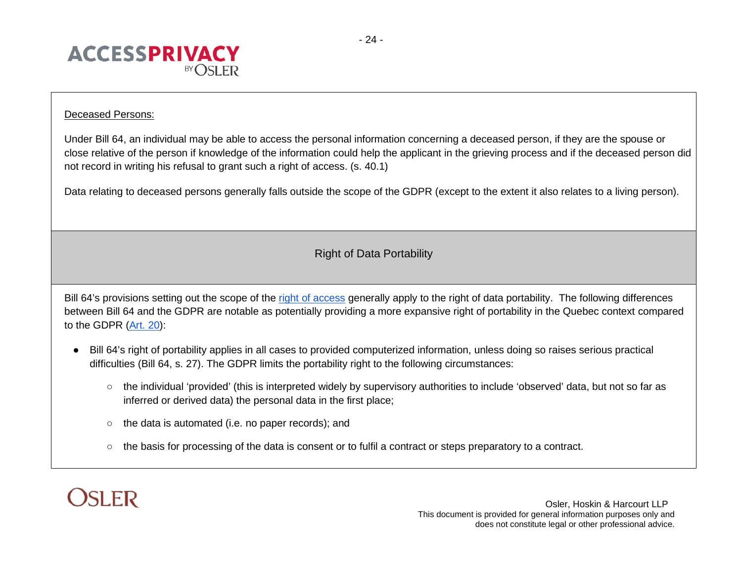

#### Deceased Persons:

Under Bill 64, an individual may be able to access the personal information concerning a deceased person, if they are the spouse or close relative of the person if knowledge of the information could help the applicant in the grieving process and if the deceased person did not record in writing his refusal to grant such a right of access. (s. 40.1)

<span id="page-23-0"></span>Data relating to deceased persons generally falls outside the scope of the GDPR (except to the extent it also relates to a living person).

Right of Data Portability

Bill 64's provisions setting out the scope of the [right of access](#page-20-0) generally apply to the right of data portability. The following differences between Bill 64 and the GDPR are notable as potentially providing a more expansive right of portability in the Quebec context compared to the GDPR [\(Art. 20\)](https://eur-lex.europa.eu/legal-content/EN/TXT/PDF/?uri=CELEX:32016R0679#page=45):

- Bill 64's right of portability applies in all cases to provided computerized information, unless doing so raises serious practical difficulties (Bill 64, s. 27). The GDPR limits the portability right to the following circumstances:
	- the individual 'provided' (this is interpreted widely by supervisory authorities to include 'observed' data, but not so far as inferred or derived data) the personal data in the first place;
	- the data is automated (i.e. no paper records); and
	- the basis for processing of the data is consent or to fulfil a contract or steps preparatory to a contract.

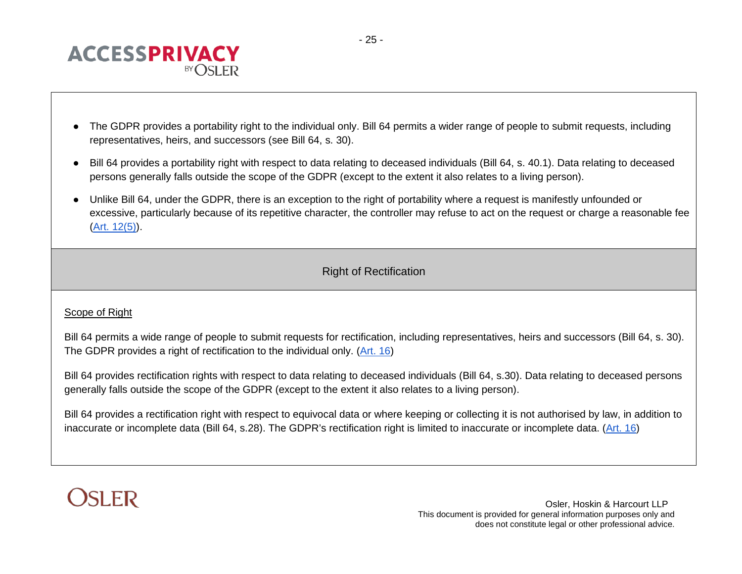

- The GDPR provides a portability right to the individual only. Bill 64 permits a wider range of people to submit requests, including representatives, heirs, and successors (see Bill 64, s. 30).
- Bill 64 provides a portability right with respect to data relating to deceased individuals (Bill 64, s. 40.1). Data relating to deceased persons generally falls outside the scope of the GDPR (except to the extent it also relates to a living person).
- Unlike Bill 64, under the GDPR, there is an exception to the right of portability where a request is manifestly unfounded or excessive, particularly because of its repetitive character, the controller may refuse to act on the request or charge a reasonable fee [\(Art. 12\(5\)\)](https://eur-lex.europa.eu/legal-content/EN/TXT/PDF/?uri=CELEX:32016R0679#page=40).

# Right of Rectification

# <span id="page-24-0"></span>Scope of Right

Bill 64 permits a wide range of people to submit requests for rectification, including representatives, heirs and successors (Bill 64, s. 30). The GDPR provides a right of rectification to the individual only. [\(Art. 16\)](https://eur-lex.europa.eu/legal-content/EN/TXT/PDF/?uri=CELEX:32016R0679#page=43)

Bill 64 provides rectification rights with respect to data relating to deceased individuals (Bill 64, s.30). Data relating to deceased persons generally falls outside the scope of the GDPR (except to the extent it also relates to a living person).

Bill 64 provides a rectification right with respect to equivocal data or where keeping or collecting it is not authorised by law, in addition to inaccurate or incomplete data (Bill 64, s.28). The GDPR's rectification right is limited to inaccurate or incomplete data. [\(Art. 16\)](https://eur-lex.europa.eu/legal-content/EN/TXT/PDF/?uri=CELEX:32016R0679#page=43)

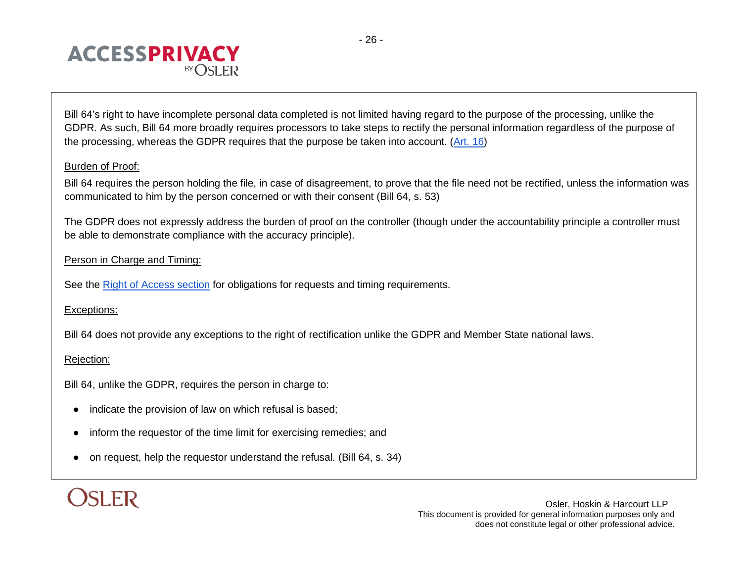

Bill 64's right to have incomplete personal data completed is not limited having regard to the purpose of the processing, unlike the GDPR. As such, Bill 64 more broadly requires processors to take steps to rectify the personal information regardless of the purpose of the processing, whereas the GDPR requires that the purpose be taken into account. [\(Art. 16\)](https://eur-lex.europa.eu/legal-content/EN/TXT/PDF/?uri=CELEX:32016R0679#page=43)

# Burden of Proof:

Bill 64 requires the person holding the file, in case of disagreement, to prove that the file need not be rectified, unless the information was communicated to him by the person concerned or with their consent (Bill 64, s. 53)

The GDPR does not expressly address the burden of proof on the controller (though under the accountability principle a controller must be able to demonstrate compliance with the accuracy principle).

# Person in Charge and Timing:

See the [Right of Access section](#page-20-0) for obligations for requests and timing requirements.

# Exceptions:

Bill 64 does not provide any exceptions to the right of rectification unlike the GDPR and Member State national laws.

# Rejection:

Bill 64, unlike the GDPR, requires the person in charge to:

- indicate the provision of law on which refusal is based;
- inform the requestor of the time limit for exercising remedies; and
- on request, help the requestor understand the refusal. (Bill 64, s. 34)

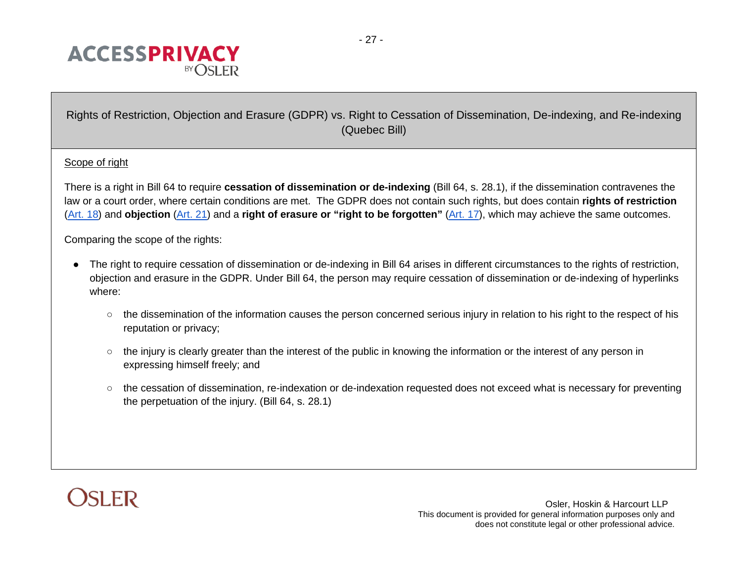

# <span id="page-26-0"></span>Rights of Restriction, Objection and Erasure (GDPR) vs. Right to Cessation of Dissemination, De-indexing, and Re-indexing (Quebec Bill)

# Scope of right

There is a right in Bill 64 to require **cessation of dissemination or de-indexing** (Bill 64, s. 28.1), if the dissemination contravenes the law or a court order, where certain conditions are met. The GDPR does not contain such rights, but does contain **rights of restriction**  [\(Art. 18\)](https://eur-lex.europa.eu/legal-content/EN/TXT/PDF/?uri=CELEX:32016R0679#page=44) and **objection** [\(Art.](https://eur-lex.europa.eu/legal-content/EN/TXT/PDF/?uri=CELEX:32016R0679#page=45) 21) and a **right of erasure or "right to be forgotten"** [\(Art. 17\)](https://eur-lex.europa.eu/legal-content/EN/TXT/PDF/?uri=CELEX:32016R0679#page=43), which may achieve the same outcomes.

Comparing the scope of the rights:

- The right to require cessation of dissemination or de-indexing in Bill 64 arises in different circumstances to the rights of restriction, objection and erasure in the GDPR. Under Bill 64, the person may require cessation of dissemination or de-indexing of hyperlinks where:
	- the dissemination of the information causes the person concerned serious injury in relation to his right to the respect of his reputation or privacy;
	- the injury is clearly greater than the interest of the public in knowing the information or the interest of any person in expressing himself freely; and
	- the cessation of dissemination, re-indexation or de-indexation requested does not exceed what is necessary for preventing the perpetuation of the injury. (Bill 64, s. 28.1)

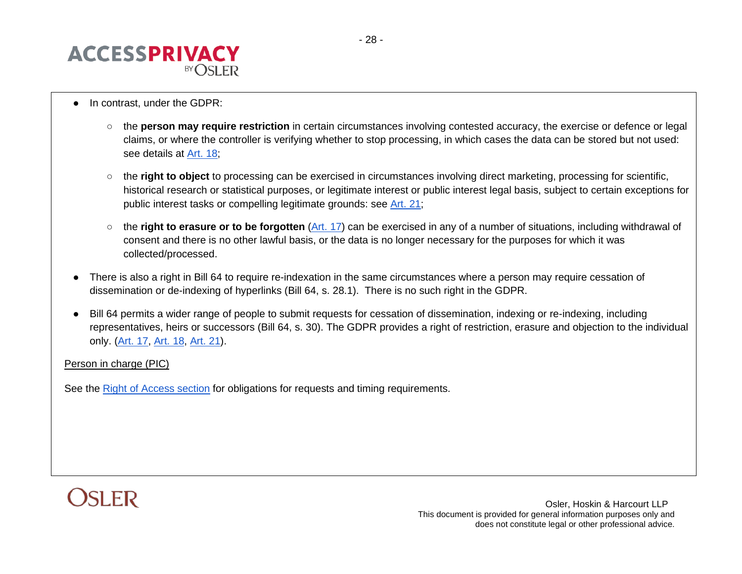

- In contrast, under the GDPR:
	- the **person may require restriction** in certain circumstances involving contested accuracy, the exercise or defence or legal claims, or where the controller is verifying whether to stop processing, in which cases the data can be stored but not used: see details at [Art. 18;](https://eur-lex.europa.eu/legal-content/EN/TXT/PDF/?uri=CELEX:32016R0679#page=44)
	- the **right to object** to processing can be exercised in circumstances involving direct marketing, processing for scientific, historical research or statistical purposes, or legitimate interest or public interest legal basis, subject to certain exceptions for public interest tasks or compelling legitimate grounds: see [Art. 21;](https://eur-lex.europa.eu/legal-content/EN/TXT/PDF/?uri=CELEX:32016R0679#page=45)
	- the **right to erasure or to be forgotten** [\(Art. 17\)](https://eur-lex.europa.eu/legal-content/EN/TXT/PDF/?uri=CELEX:32016R0679#page=43) can be exercised in any of a number of situations, including withdrawal of consent and there is no other lawful basis, or the data is no longer necessary for the purposes for which it was collected/processed.
- There is also a right in Bill 64 to require re-indexation in the same circumstances where a person may require cessation of dissemination or de-indexing of hyperlinks (Bill 64, s. 28.1). There is no such right in the GDPR.
- Bill 64 permits a wider range of people to submit requests for cessation of dissemination, indexing or re-indexing, including representatives, heirs or successors (Bill 64, s. 30). The GDPR provides a right of restriction, erasure and objection to the individual only. [\(Art. 17,](https://eur-lex.europa.eu/legal-content/EN/TXT/PDF/?uri=CELEX:32016R0679#page=43) [Art. 18,](https://eur-lex.europa.eu/legal-content/EN/TXT/PDF/?uri=CELEX:32016R0679#page=44) [Art. 21\)](https://eur-lex.europa.eu/legal-content/EN/TXT/PDF/?uri=CELEX:32016R0679#page=45).

#### Person in charge (PIC)

See the Right [of Access section](#page-20-0) for obligations for requests and timing requirements.

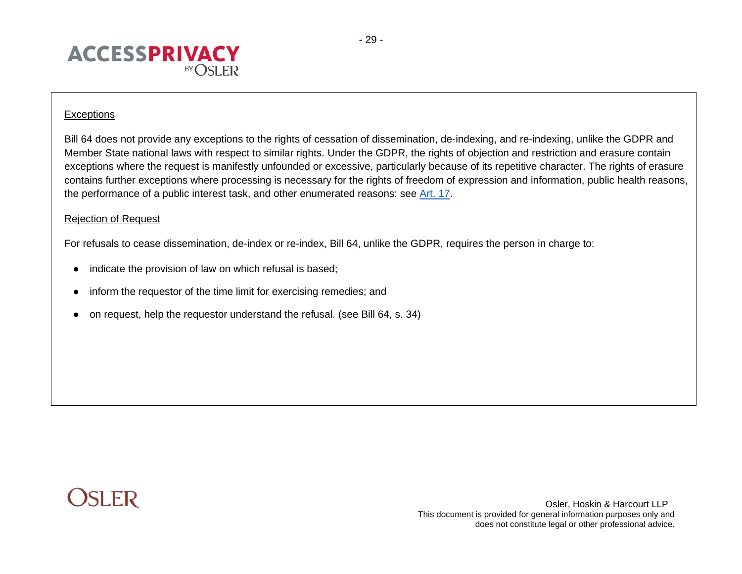

#### **Exceptions**

Bill 64 does not provide any exceptions to the rights of cessation of dissemination, de-indexing, and re-indexing, unlike the GDPR and Member State national laws with respect to similar rights. Under the GDPR, the rights of objection and restriction and erasure contain exceptions where the request is manifestly unfounded or excessive, particularly because of its repetitive character. The rights of erasure contains further exceptions where processing is necessary for the rights of freedom of expression and information, public health reasons, the performance of a public interest task, and other enumerated reasons: see [Art. 17.](https://eur-lex.europa.eu/legal-content/EN/TXT/PDF/?uri=CELEX:32016R0679#page=43)

#### Rejection of Request

For refusals to cease dissemination, de-index or re-index, Bill 64, unlike the GDPR, requires the person in charge to:

- indicate the provision of law on which refusal is based;
- inform the requestor of the time limit for exercising remedies; and
- on request, help the requestor understand the refusal. (see Bill 64, s. 34)

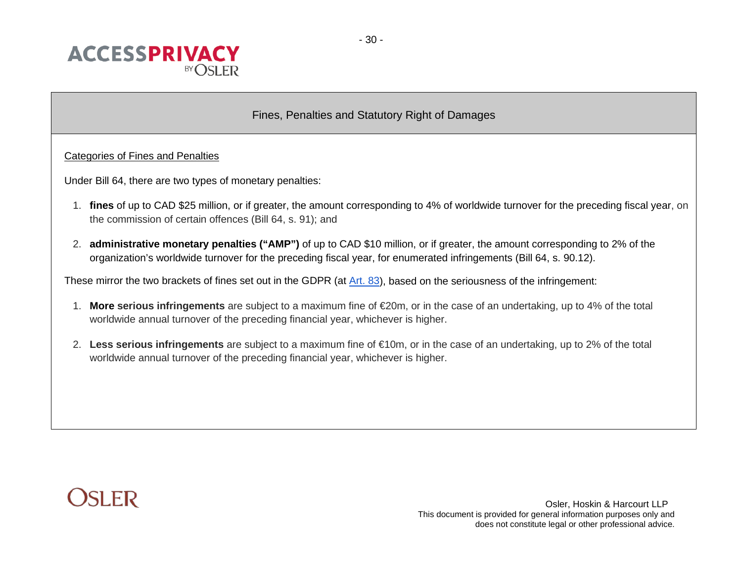

Fines, Penalties and Statutory Right of Damages

# <span id="page-29-0"></span>Categories of Fines and Penalties

Under Bill 64, there are two types of monetary penalties:

- 1. **fines** of up to CAD \$25 million, or if greater, the amount corresponding to 4% of worldwide turnover for the preceding fiscal year, on the commission of certain offences (Bill 64, s. 91); and
- 2. **administrative monetary penalties ("AMP")** of up to CAD \$10 million, or if greater, the amount corresponding to 2% of the organization's worldwide turnover for the preceding fiscal year, for enumerated infringements (Bill 64, s. 90.12).

These mirror the two brackets of fines set out in the GDPR (at [Art. 83\)](https://eur-lex.europa.eu/legal-content/EN/TXT/PDF/?uri=CELEX:32016R0679#page=82), based on the seriousness of the infringement:

- 1. **More serious infringements** are subject to a maximum fine of €20m, or in the case of an undertaking, up to 4% of the total worldwide annual turnover of the preceding financial year, whichever is higher.
- 2. **Less serious infringements** are subject to a maximum fine of €10m, or in the case of an undertaking, up to 2% of the total worldwide annual turnover of the preceding financial year, whichever is higher.

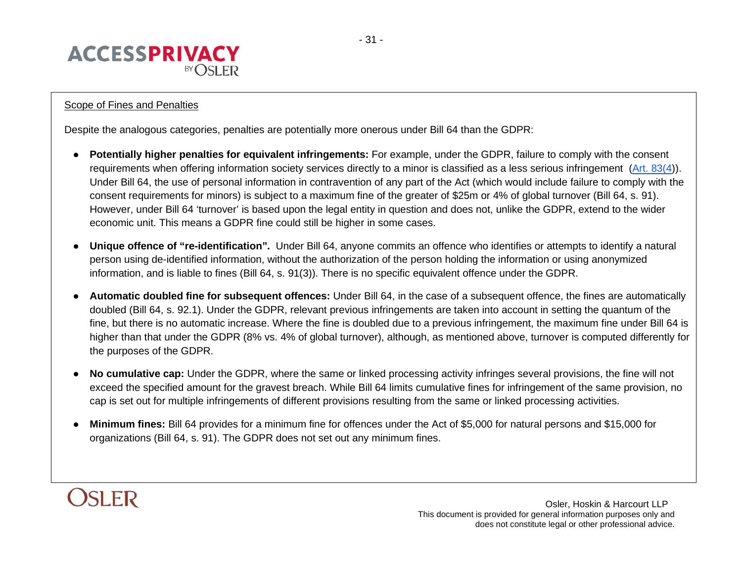

# Scope of Fines and Penalties

Despite the analogous categories, penalties are potentially more onerous under Bill 64 than the GDPR:

- **Potentially higher penalties for equivalent infringements:** For example, under the GDPR, failure to comply with the consent requirements when offering information society services directly to a minor is classified as a less serious infringement [\(Art. 83\(4\)](https://eur-lex.europa.eu/legal-content/EN/TXT/PDF/?uri=CELEX:32016R0679#page=82)). Under Bill 64, the use of personal information in contravention of any part of the Act (which would include failure to comply with the consent requirements for minors) is subject to a maximum fine of the greater of \$25m or 4% of global turnover (Bill 64, s. 91). However, under Bill 64 'turnover' is based upon the legal entity in question and does not, unlike the GDPR, extend to the wider economic unit. This means a GDPR fine could still be higher in some cases.
- **Unique offence of "re-identification".** Under Bill 64, anyone commits an offence who identifies or attempts to identify a natural person using de-identified information, without the authorization of the person holding the information or using anonymized information, and is liable to fines (Bill 64, s. 91(3)). There is no specific equivalent offence under the GDPR.
- **Automatic doubled fine for subsequent offences:** Under Bill 64, in the case of a subsequent offence, the fines are automatically doubled (Bill 64, s. 92.1). Under the GDPR, relevant previous infringements are taken into account in setting the quantum of the fine, but there is no automatic increase. Where the fine is doubled due to a previous infringement, the maximum fine under Bill 64 is higher than that under the GDPR (8% vs. 4% of global turnover), although, as mentioned above, turnover is computed differently for the purposes of the GDPR.
- **No cumulative cap:** Under the GDPR, where the same or linked processing activity infringes several provisions, the fine will not exceed the specified amount for the gravest breach. While Bill 64 limits cumulative fines for infringement of the same provision, no cap is set out for multiple infringements of different provisions resulting from the same or linked processing activities.
- **Minimum fines:** Bill 64 provides for a minimum fine for offences under the Act of \$5,000 for natural persons and \$15,000 for organizations (Bill 64, s. 91). The GDPR does not set out any minimum fines.

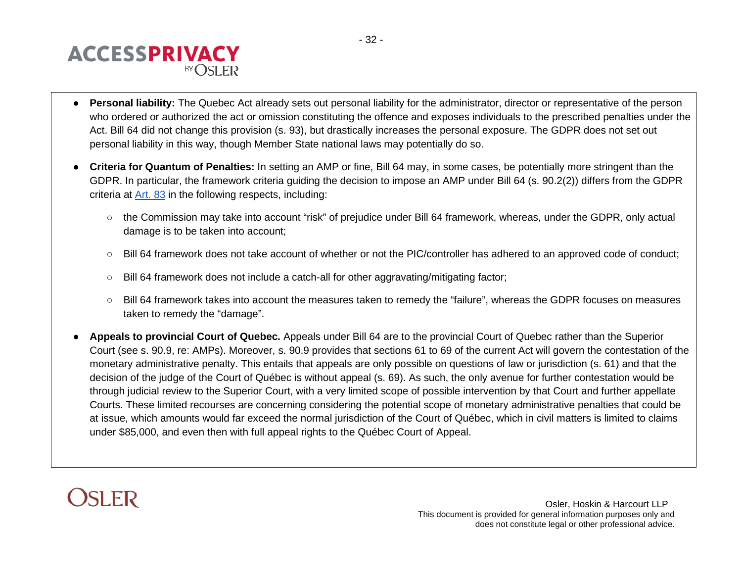# **ACCESSPRIVACY BY OSLER**

- **Personal liability:** The Quebec Act already sets out personal liability for the administrator, director or representative of the person who ordered or authorized the act or omission constituting the offence and exposes individuals to the prescribed penalties under the Act. Bill 64 did not change this provision (s. 93), but drastically increases the personal exposure. The GDPR does not set out personal liability in this way, though Member State national laws may potentially do so.
- **Criteria for Quantum of Penalties:** In setting an AMP or fine, Bill 64 may, in some cases, be potentially more stringent than the GDPR. In particular, the framework criteria guiding the decision to impose an AMP under Bill 64 (s. 90.2(2)) differs from the GDPR criteria at [Art. 83](https://eur-lex.europa.eu/legal-content/EN/TXT/PDF/?uri=CELEX:32016R0679#page=82) in the following respects, including:
	- the Commission may take into account "risk" of prejudice under Bill 64 framework, whereas, under the GDPR, only actual damage is to be taken into account;
	- Bill 64 framework does not take account of whether or not the PIC/controller has adhered to an approved code of conduct;
	- Bill 64 framework does not include a catch-all for other aggravating/mitigating factor;
	- Bill 64 framework takes into account the measures taken to remedy the "failure", whereas the GDPR focuses on measures taken to remedy the "damage".
- **Appeals to provincial Court of Quebec.** Appeals under Bill 64 are to the provincial Court of Quebec rather than the Superior Court (see s. 90.9, re: AMPs). Moreover, s. 90.9 provides that sections 61 to 69 of the current Act will govern the contestation of the monetary administrative penalty. This entails that appeals are only possible on questions of law or jurisdiction (s. 61) and that the decision of the judge of the Court of Québec is without appeal (s. 69). As such, the only avenue for further contestation would be through judicial review to the Superior Court, with a very limited scope of possible intervention by that Court and further appellate Courts. These limited recourses are concerning considering the potential scope of monetary administrative penalties that could be at issue, which amounts would far exceed the normal jurisdiction of the Court of Québec, which in civil matters is limited to claims under \$85,000, and even then with full appeal rights to the Québec Court of Appeal.